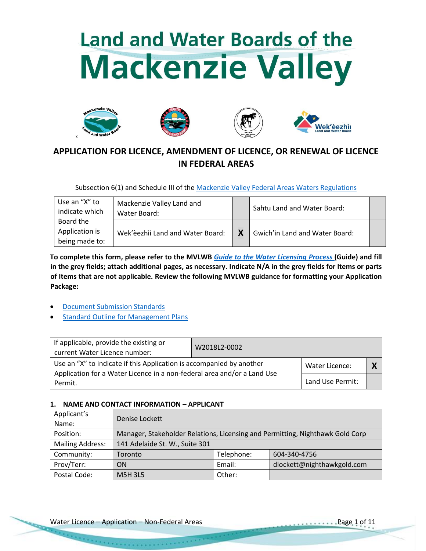# **Land and Water Boards of the Mackenzie Valley**









# **APPLICATION FOR LICENCE, AMENDMENT OF LICENCE, OR RENEWAL OF LICENCE IN FEDERAL AREAS**

Subsection 6(1) and Schedule III of the [Mackenzie Valley Federal Areas Waters Regulations](http://laws-lois.justice.gc.ca/PDF/SOR-93-303.pdf)

| Use an "X" to<br>indicate which               | Mackenzie Valley Land and<br>Water Board: |   | Sahtu Land and Water Board:    |  |
|-----------------------------------------------|-------------------------------------------|---|--------------------------------|--|
| Board the<br>Application is<br>being made to: | Wek'èezhìi Land and Water Board:          | Χ | Gwich'in Land and Water Board: |  |

**To complete this form, please refer to the MVLWB** *[Guide to the Water Licensing Process](https://wlwb.ca/sites/default/files/lwb_guide_to_the_water_licensing_process_-_final_-_sep_16_20.pdf)* **(Guide) and fill in the grey fields; attach additional pages, as necessary. Indicate N/A in the grey fields for Items or parts of Items that are not applicable. Review the following MVLWB guidance for formatting your Application Package:**

- [Document Submission Standards](https://mvlwb.com/sites/default/files/mvlwb_document_submission_standards_-_jan_2019.pdf)
- [Standard Outline for Management Plans](https://glwb.com/sites/default/files/documents/wg/Standard%20Outline%20for%20Managment%20Plans%20-%20October%202013.pdf)

| If applicable, provide the existing or<br>current Water Licence number:            | W2018L2-0002 |                       |  |
|------------------------------------------------------------------------------------|--------------|-----------------------|--|
| Use an "X" to indicate if this Application is accompanied by another               |              | <b>Water Licence:</b> |  |
| Application for a Water Licence in a non-federal area and/or a Land Use<br>Permit. |              | Land Use Permit:      |  |

# **1. NAME AND CONTACT INFORMATION – APPLICANT**

| Applicant's<br>Name:    | Denise Lockett                 |            |                                                                               |
|-------------------------|--------------------------------|------------|-------------------------------------------------------------------------------|
| Position:               |                                |            | Manager, Stakeholder Relations, Licensing and Permitting, Nighthawk Gold Corp |
| <b>Mailing Address:</b> | 141 Adelaide St. W., Suite 301 |            |                                                                               |
| Community:              | Toronto                        | Telephone: | 604-340-4756                                                                  |
| Prov/Terr:              | ΟN                             | Email:     | dlockett@nighthawkgold.com                                                    |
| Postal Code:            | <b>M5H3L5</b>                  | Other:     |                                                                               |

**Kanada** Para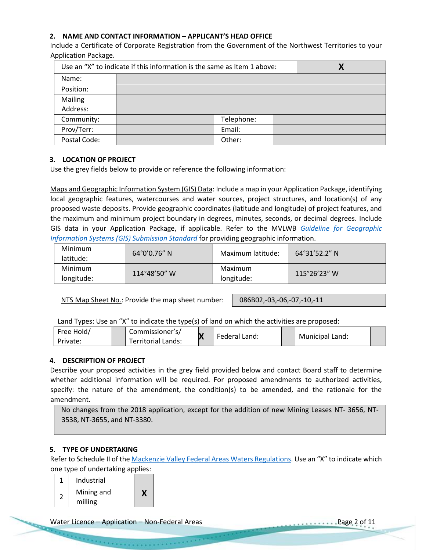# **2. NAME AND CONTACT INFORMATION – APPLICANT'S HEAD OFFICE**

Include a Certificate of Corporate Registration from the Government of the Northwest Territories to your Application Package.

| Use an "X" to indicate if this information is the same as Item 1 above: |  |            | Χ |  |
|-------------------------------------------------------------------------|--|------------|---|--|
| Name:                                                                   |  |            |   |  |
| Position:                                                               |  |            |   |  |
| Mailing                                                                 |  |            |   |  |
| Address:                                                                |  |            |   |  |
| Community:                                                              |  | Telephone: |   |  |
| Prov/Terr:                                                              |  | Email:     |   |  |
| Postal Code:                                                            |  | Other:     |   |  |

# **3. LOCATION OF PROJECT**

Use the grey fields below to provide or reference the following information:

Maps and Geographic Information System (GIS) Data: Include a map in your Application Package, identifying local geographic features, watercourses and water sources, project structures, and location(s) of any proposed waste deposits. Provide geographic coordinates (latitude and longitude) of project features, and the maximum and minimum project boundary in degrees, minutes, seconds, or decimal degrees. Include GIS data in your Application Package, if applicable. Refer to the MVLWB *[Guideline for Geographic](https://www.enr.gov.nt.ca/sites/enr/files/guidelines_for_spill_contingency_planning_2007.pdf)  [Information Systems \(GIS\) Submission Standard](https://www.enr.gov.nt.ca/sites/enr/files/guidelines_for_spill_contingency_planning_2007.pdf)* for providing geographic information.

| Minimum<br>latitude:  | $64^{\circ}0'0.76''$ N | Maximum latitude:     | $64^{\circ}31'52.2''$ N                     |
|-----------------------|------------------------|-----------------------|---------------------------------------------|
| Minimum<br>longitude: | 114°48'50" W           | Maximum<br>longitude: | $115^{\circ}26^{\prime}23^{\prime\prime}$ W |

NTS Map Sheet No.: Provide the map sheet number: | 086B02,-03,-06,-07,-10,-11

Land Types: Use an "X" to indicate the type(s) of land on which the activities are proposed:

| Free Hold/ | Commissioner's/    |               |                 |  |
|------------|--------------------|---------------|-----------------|--|
| Private:   | Ferritorial Lands: | Federal Land: | Municipal Land: |  |

# **4. DESCRIPTION OF PROJECT**

Describe your proposed activities in the grey field provided below and contact Board staff to determine whether additional information will be required. For proposed amendments to authorized activities, specify: the nature of the amendment, the condition(s) to be amended, and the rationale for the amendment.

No changes from the 2018 application, except for the addition of new Mining Leases NT- 3656, NT-3538, NT-3655, and NT-3380.

# **5. TYPE OF UNDERTAKING**

Refer to Schedule II of the [Mackenzie Valley Federal Areas Waters Regulations.](http://laws-lois.justice.gc.ca/PDF/SOR-93-303.pdf) Use an "X" to indicate which one type of undertaking applies:

|   | Industrial |  |
|---|------------|--|
|   | Mining and |  |
| 2 | milling    |  |

e personal personal

Water Licence – Application – Non-Federal Areas Page 2 of 11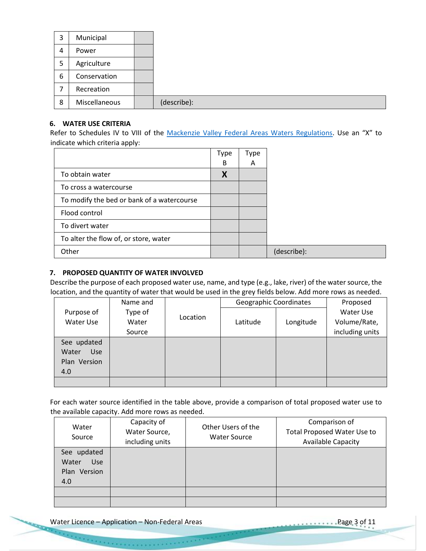| 3 | Municipal     |  |
|---|---------------|--|
| 4 | Power         |  |
| 5 | Agriculture   |  |
| 6 | Conservation  |  |
|   | Recreation    |  |
| 8 | Miscellaneous |  |

#### **6. WATER USE CRITERIA**

Refer to Schedules IV to VIII of the [Mackenzie Valley Federal Areas Waters Regulations.](https://mvlwb.com/sites/default/files/sor-93-303_1_0.pdf) Use an "X" to indicate which criteria apply:

|                                            | <b>Type</b> | Type |             |
|--------------------------------------------|-------------|------|-------------|
|                                            | B           | A    |             |
| To obtain water                            | X           |      |             |
| To cross a watercourse                     |             |      |             |
| To modify the bed or bank of a watercourse |             |      |             |
| Flood control                              |             |      |             |
| To divert water                            |             |      |             |
| To alter the flow of, or store, water      |             |      |             |
| Other                                      |             |      | (describe): |

# **7. PROPOSED QUANTITY OF WATER INVOLVED**

Describe the purpose of each proposed water use, name, and type (e.g., lake, river) of the water source, the location, and the quantity of water that would be used in the grey fields below. Add more rows as needed.

|              | Name and |          | Geographic Coordinates |           | Proposed        |
|--------------|----------|----------|------------------------|-----------|-----------------|
| Purpose of   | Type of  |          |                        |           | Water Use       |
| Water Use    | Water    | Location | Latitude               | Longitude | Volume/Rate,    |
|              | Source   |          |                        |           | including units |
| See updated  |          |          |                        |           |                 |
| Water<br>Use |          |          |                        |           |                 |
| Plan Version |          |          |                        |           |                 |
| 4.0          |          |          |                        |           |                 |
|              |          |          |                        |           |                 |

For each water source identified in the table above, provide a comparison of total proposed water use to the available capacity. Add more rows as needed.

| Water<br>Source                    | Capacity of<br>Water Source,<br>including units | Other Users of the<br><b>Water Source</b> | Comparison of<br><b>Total Proposed Water Use to</b><br><b>Available Capacity</b> |
|------------------------------------|-------------------------------------------------|-------------------------------------------|----------------------------------------------------------------------------------|
| See updated<br>Water<br><b>Use</b> |                                                 |                                           |                                                                                  |
| Plan Version                       |                                                 |                                           |                                                                                  |
| 4.0                                |                                                 |                                           |                                                                                  |
|                                    |                                                 |                                           |                                                                                  |
|                                    |                                                 |                                           |                                                                                  |

Water Licence – Application – Non-Federal Areas Page 3 of 11

e e comerción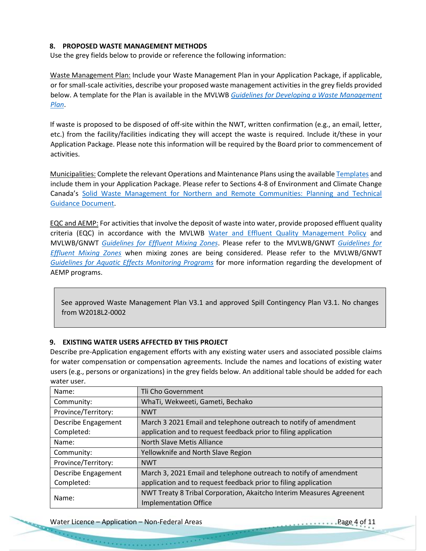#### **8. PROPOSED WASTE MANAGEMENT METHODS**

Use the grey fields below to provide or reference the following information:

Waste Management Plan: Include your Waste Management Plan in your Application Package, if applicable, or for small-scale activities, describe your proposed waste management activities in the grey fields provided below. A template for the Plan is available in the MVLWB *[Guidelines for Developing a Waste Management](https://mvlwb.com/sites/default/files/documents/MVLWB-Guidelines-for-Developing-a-Waste-Management-Plan-Mar-31_11-JCWG.pdf)  [Plan](https://mvlwb.com/sites/default/files/documents/MVLWB-Guidelines-for-Developing-a-Waste-Management-Plan-Mar-31_11-JCWG.pdf)*.

If waste is proposed to be disposed of off-site within the NWT, written confirmation (e.g., an email, letter, etc.) from the facility/facilities indicating they will accept the waste is required. Include it/these in your Application Package. Please note this information will be required by the Board prior to commencement of activities.

Municipalities: Complete the relevant Operations and Maintenance Plans using the available [Templates](https://mvlwb.com/mvlwb/apply-permit-licence) and include them in your Application Package. Please refer to Sections 4-8 of Environment and Climate Change Canada's [Solid Waste Management for Northern and Remote Communities: Planning and Technical](https://mvlwb.com/sites/default/files/en14-263-2016-eng.pdf)  [Guidance Document.](https://mvlwb.com/sites/default/files/en14-263-2016-eng.pdf)

EQC and AEMP: For activities that involve the deposit of waste into water, provide proposed effluent quality criteria (EQC) in accordance with the MVLWB [Water and Effluent Quality Management Policy](https://mvlwb.com/sites/default/files/documents/MVLWB-Water-and-Effluent-Quality-Management-Policy-Mar-31_11-JCWG.pdf) and MVLWB/GNWT *[Guidelines for Effluent Mixing Zones](https://mvlwb.com/sites/default/files/images/Guidelines/Guidelines%20for%20Effluent%20Mixing%20Zones%20-%20Final%20Draft%20-%20June%202017_EDIT9.pdf)*. Please refer to the MVLWB/GNWT *[Guidelines for](https://mvlwb.com/sites/default/files/images/Guidelines/Guidelines%20for%20Effluent%20Mixing%20Zones%20-%20Final%20Draft%20-%20June%202017_EDIT9.pdf)  [Effluent Mixing Zones](https://mvlwb.com/sites/default/files/images/Guidelines/Guidelines%20for%20Effluent%20Mixing%20Zones%20-%20Final%20Draft%20-%20June%202017_EDIT9.pdf)* when mixing zones are being considered. Please refer to the MVLWB/GNWT *[Guidelines for Aquatic Effects Monitoring Programs](https://wlwb.ca/sites/default/files/aemp_guidelines_-_mar_5_19.pdf)* for more information regarding the development of AEMP programs.

See approved Waste Management Plan V3.1 and approved Spill Contingency Plan V3.1. No changes from W2018L2-0002

#### **9. EXISTING WATER USERS AFFECTED BY THIS PROJECT**

Describe pre-Application engagement efforts with any existing water users and associated possible claims for water compensation or compensation agreements. Include the names and locations of existing water users (e.g., persons or organizations) in the grey fields below. An additional table should be added for each water user.

| Name:               | Tli Cho Government                                                   |
|---------------------|----------------------------------------------------------------------|
| Community:          | WhaTi, Wekweeti, Gameti, Bechako                                     |
| Province/Territory: | <b>NWT</b>                                                           |
| Describe Engagement | March 3 2021 Email and telephone outreach to notify of amendment     |
| Completed:          | application and to request feedback prior to filing application      |
| Name:               | North Slave Metis Alliance                                           |
| Community:          | Yellowknife and North Slave Region                                   |
| Province/Territory: | <b>NWT</b>                                                           |
| Describe Engagement | March 3, 2021 Email and telephone outreach to notify of amendment    |
| Completed:          | application and to request feedback prior to filing application      |
| Name:               | NWT Treaty 8 Tribal Corporation, Akaitcho Interim Measures Agreenent |
|                     | <b>Implementation Office</b>                                         |

Water Licence – Application – Non-Federal Areas Page 4 of 11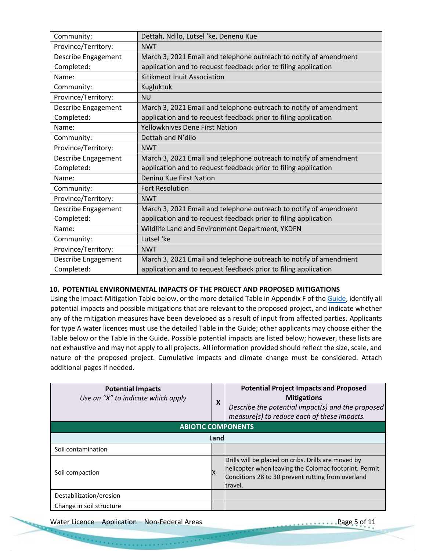| Community:          | Dettah, Ndilo, Lutsel 'ke, Denenu Kue                             |
|---------------------|-------------------------------------------------------------------|
| Province/Territory: | <b>NWT</b>                                                        |
| Describe Engagement | March 3, 2021 Email and telephone outreach to notify of amendment |
| Completed:          | application and to request feedback prior to filing application   |
| Name:               | Kitikmeot Inuit Association                                       |
| Community:          | Kugluktuk                                                         |
| Province/Territory: | <b>NU</b>                                                         |
| Describe Engagement | March 3, 2021 Email and telephone outreach to notify of amendment |
| Completed:          | application and to request feedback prior to filing application   |
| Name:               | <b>Yellowknives Dene First Nation</b>                             |
| Community:          | Dettah and N'dilo                                                 |
| Province/Territory: | <b>NWT</b>                                                        |
| Describe Engagement | March 3, 2021 Email and telephone outreach to notify of amendment |
| Completed:          | application and to request feedback prior to filing application   |
| Name:               | Deninu Kue First Nation                                           |
| Community:          | <b>Fort Resolution</b>                                            |
| Province/Territory: | <b>NWT</b>                                                        |
| Describe Engagement | March 3, 2021 Email and telephone outreach to notify of amendment |
| Completed:          | application and to request feedback prior to filing application   |
| Name:               | Wildlife Land and Environment Department, YKDFN                   |
| Community:          | Lutsel 'ke                                                        |
| Province/Territory: | <b>NWT</b>                                                        |
| Describe Engagement | March 3, 2021 Email and telephone outreach to notify of amendment |
| Completed:          | application and to request feedback prior to filing application   |

#### **10. POTENTIAL ENVIRONMENTAL IMPACTS OF THE PROJECT AND PROPOSED MITIGATIONS**

Using the Impact-Mitigation Table below, or the more detailed Table in Appendix F of th[e Guide,](https://wlwb.ca/sites/default/files/lwb_guide_to_the_water_licensing_process_-_final_-_sep_16_20.pdf) identify all potential impacts and possible mitigations that are relevant to the proposed project, and indicate whether any of the mitigation measures have been developed as a result of input from affected parties. Applicants for type A water licences must use the detailed Table in the Guide; other applicants may choose either the Table below or the Table in the Guide. Possible potential impacts are listed below; however, these lists are not exhaustive and may not apply to all projects. All information provided should reflect the size, scale, and nature of the proposed project. Cumulative impacts and climate change must be considered. Attach additional pages if needed.

| <b>Potential Impacts</b><br>Use an "X" to indicate which apply | X    | <b>Potential Project Impacts and Proposed</b><br><b>Mitigations</b><br>Describe the potential impact(s) and the proposed<br>measure(s) to reduce each of these impacts.      |  |
|----------------------------------------------------------------|------|------------------------------------------------------------------------------------------------------------------------------------------------------------------------------|--|
| <b>ABIOTIC COMPONENTS</b>                                      |      |                                                                                                                                                                              |  |
|                                                                | Land |                                                                                                                                                                              |  |
| Soil contamination                                             |      |                                                                                                                                                                              |  |
| Soil compaction                                                |      | Drills will be placed on cribs. Drills are moved by<br>helicopter when leaving the Colomac footprint. Permit<br>Conditions 28 to 30 prevent rutting from overland<br>travel. |  |
| Destabilization/erosion                                        |      |                                                                                                                                                                              |  |
| Change in soil structure                                       |      |                                                                                                                                                                              |  |

Water Licence – Application – Non-Federal Areas Page 5 of 11

**Concert Control**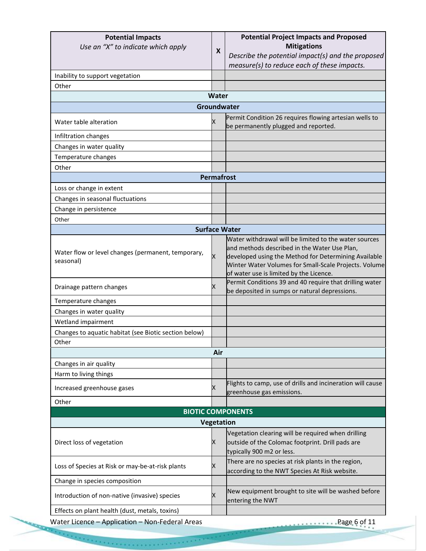| <b>Potential Impacts</b><br>Use an "X" to indicate which apply  | X                    | <b>Potential Project Impacts and Proposed</b><br><b>Mitigations</b><br>Describe the potential impact(s) and the proposed<br>measure(s) to reduce each of these impacts.                                                                                           |
|-----------------------------------------------------------------|----------------------|-------------------------------------------------------------------------------------------------------------------------------------------------------------------------------------------------------------------------------------------------------------------|
| Inability to support vegetation                                 |                      |                                                                                                                                                                                                                                                                   |
| Other                                                           |                      |                                                                                                                                                                                                                                                                   |
|                                                                 | Water                |                                                                                                                                                                                                                                                                   |
|                                                                 | Groundwater          |                                                                                                                                                                                                                                                                   |
| Water table alteration                                          | X                    | Permit Condition 26 requires flowing artesian wells to<br>be permanently plugged and reported.                                                                                                                                                                    |
| Infiltration changes                                            |                      |                                                                                                                                                                                                                                                                   |
| Changes in water quality                                        |                      |                                                                                                                                                                                                                                                                   |
| Temperature changes                                             |                      |                                                                                                                                                                                                                                                                   |
| Other                                                           |                      |                                                                                                                                                                                                                                                                   |
|                                                                 | <b>Permafrost</b>    |                                                                                                                                                                                                                                                                   |
| Loss or change in extent                                        |                      |                                                                                                                                                                                                                                                                   |
| Changes in seasonal fluctuations                                |                      |                                                                                                                                                                                                                                                                   |
| Change in persistence                                           |                      |                                                                                                                                                                                                                                                                   |
| Other                                                           |                      |                                                                                                                                                                                                                                                                   |
|                                                                 | <b>Surface Water</b> |                                                                                                                                                                                                                                                                   |
| Water flow or level changes (permanent, temporary,<br>seasonal) | X                    | Water withdrawal will be limited to the water sources<br>and methods described in the Water Use Plan,<br>developed using the Method for Determining Available<br>Winter Water Volumes for Small-Scale Projects. Volume<br>of water use is limited by the Licence. |
| Drainage pattern changes                                        | Χ                    | Permit Conditions 39 and 40 require that drilling water<br>be deposited in sumps or natural depressions.                                                                                                                                                          |
| Temperature changes                                             |                      |                                                                                                                                                                                                                                                                   |
| Changes in water quality                                        |                      |                                                                                                                                                                                                                                                                   |
| Wetland impairment                                              |                      |                                                                                                                                                                                                                                                                   |
| Changes to aquatic habitat (see Biotic section below)           |                      |                                                                                                                                                                                                                                                                   |
| Other                                                           |                      |                                                                                                                                                                                                                                                                   |
|                                                                 | Air                  |                                                                                                                                                                                                                                                                   |
| Changes in air quality                                          |                      |                                                                                                                                                                                                                                                                   |
| Harm to living things                                           |                      |                                                                                                                                                                                                                                                                   |
| Increased greenhouse gases                                      | Χ                    | Flights to camp, use of drills and incineration will cause<br>greenhouse gas emissions.                                                                                                                                                                           |
| Other                                                           |                      |                                                                                                                                                                                                                                                                   |
|                                                                 |                      | <b>BIOTIC COMPONENTS</b>                                                                                                                                                                                                                                          |
|                                                                 | Vegetation           |                                                                                                                                                                                                                                                                   |
| Direct loss of vegetation                                       | х                    | Vegetation clearing will be required when drilling<br>outside of the Colomac footprint. Drill pads are<br>typically 900 m2 or less.                                                                                                                               |
| Loss of Species at Risk or may-be-at-risk plants                | х                    | There are no species at risk plants in the region,<br>according to the NWT Species At Risk website.                                                                                                                                                               |
| Change in species composition                                   |                      |                                                                                                                                                                                                                                                                   |
| Introduction of non-native (invasive) species                   | х                    | New equipment brought to site will be washed before<br>entering the NWT                                                                                                                                                                                           |
|                                                                 |                      |                                                                                                                                                                                                                                                                   |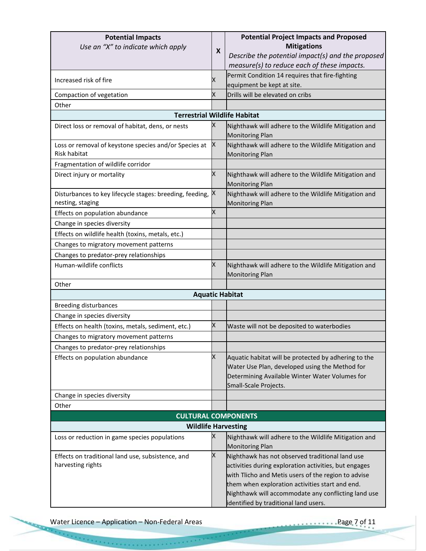| <b>Potential Impacts</b>                                   |   | <b>Potential Project Impacts and Proposed</b>                                  |  |  |
|------------------------------------------------------------|---|--------------------------------------------------------------------------------|--|--|
| Use an "X" to indicate which apply                         | X | <b>Mitigations</b>                                                             |  |  |
|                                                            |   | Describe the potential impact(s) and the proposed                              |  |  |
|                                                            |   | measure(s) to reduce each of these impacts.                                    |  |  |
| Increased risk of fire                                     | Χ | Permit Condition 14 requires that fire-fighting                                |  |  |
|                                                            |   | equipment be kept at site.                                                     |  |  |
| Compaction of vegetation                                   | Χ | Drills will be elevated on cribs                                               |  |  |
| Other                                                      |   |                                                                                |  |  |
| <b>Terrestrial Wildlife Habitat</b>                        |   |                                                                                |  |  |
| Direct loss or removal of habitat, dens, or nests          | x | Nighthawk will adhere to the Wildlife Mitigation and<br><b>Monitoring Plan</b> |  |  |
| Loss or removal of keystone species and/or Species at      | x | Nighthawk will adhere to the Wildlife Mitigation and                           |  |  |
| <b>Risk habitat</b>                                        |   | <b>Monitoring Plan</b>                                                         |  |  |
| Fragmentation of wildlife corridor                         |   |                                                                                |  |  |
| Direct injury or mortality                                 | X | Nighthawk will adhere to the Wildlife Mitigation and<br><b>Monitoring Plan</b> |  |  |
| Disturbances to key lifecycle stages: breeding, feeding, X |   | Nighthawk will adhere to the Wildlife Mitigation and                           |  |  |
| nesting, staging                                           |   | <b>Monitoring Plan</b>                                                         |  |  |
| Effects on population abundance                            | х |                                                                                |  |  |
| Change in species diversity                                |   |                                                                                |  |  |
| Effects on wildlife health (toxins, metals, etc.)          |   |                                                                                |  |  |
| Changes to migratory movement patterns                     |   |                                                                                |  |  |
| Changes to predator-prey relationships                     |   |                                                                                |  |  |
| Human-wildlife conflicts                                   | X | Nighthawk will adhere to the Wildlife Mitigation and<br><b>Monitoring Plan</b> |  |  |
| Other                                                      |   |                                                                                |  |  |
|                                                            |   | <b>Aquatic Habitat</b>                                                         |  |  |
| <b>Breeding disturbances</b>                               |   |                                                                                |  |  |
| Change in species diversity                                |   |                                                                                |  |  |
| Effects on health (toxins, metals, sediment, etc.)         | X | Waste will not be deposited to waterbodies                                     |  |  |
| Changes to migratory movement patterns                     |   |                                                                                |  |  |
| Changes to predator-prey relationships                     |   |                                                                                |  |  |
| Effects on population abundance                            | Χ | Aquatic habitat will be protected by adhering to the                           |  |  |
|                                                            |   | Water Use Plan, developed using the Method for                                 |  |  |
|                                                            |   | Determining Available Winter Water Volumes for                                 |  |  |
|                                                            |   | Small-Scale Projects.                                                          |  |  |
| Change in species diversity                                |   |                                                                                |  |  |
| Other                                                      |   |                                                                                |  |  |
| <b>CULTURAL COMPONENTS</b>                                 |   |                                                                                |  |  |
| <b>Wildlife Harvesting</b>                                 |   |                                                                                |  |  |
| Loss or reduction in game species populations              | X | Nighthawk will adhere to the Wildlife Mitigation and                           |  |  |
| Effects on traditional land use, subsistence, and          | X | <b>Monitoring Plan</b><br>Nighthawk has not observed traditional land use      |  |  |
| harvesting rights                                          |   | activities during exploration activities, but engages                          |  |  |
|                                                            |   | with Tlicho and Metis users of the region to advise                            |  |  |
|                                                            |   | them when exploration activities start and end.                                |  |  |
|                                                            |   | Nighthawk will accommodate any conflicting land use                            |  |  |
|                                                            |   | identified by traditional land users.                                          |  |  |

Water Licence – Application – Non-Federal Areas Page 7 of 11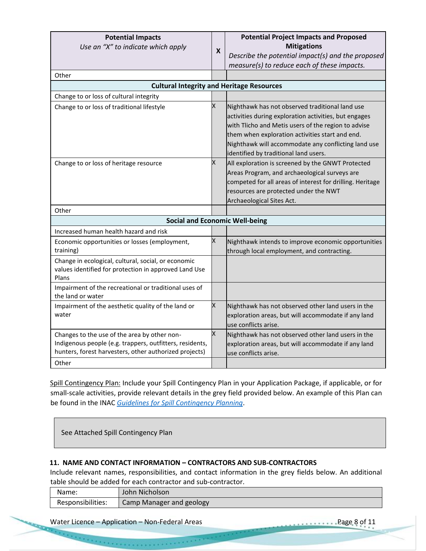| <b>Potential Impacts</b><br>Use an "X" to indicate which apply<br>Other<br><b>Cultural Integrity and Heritage Resources</b>                                        | X | <b>Potential Project Impacts and Proposed</b><br><b>Mitigations</b><br>Describe the potential impact(s) and the proposed<br>measure(s) to reduce each of these impacts.                                                                                                                                            |
|--------------------------------------------------------------------------------------------------------------------------------------------------------------------|---|--------------------------------------------------------------------------------------------------------------------------------------------------------------------------------------------------------------------------------------------------------------------------------------------------------------------|
| Change to or loss of cultural integrity                                                                                                                            |   |                                                                                                                                                                                                                                                                                                                    |
| Change to or loss of traditional lifestyle                                                                                                                         | X | Nighthawk has not observed traditional land use<br>activities during exploration activities, but engages<br>with Tlicho and Metis users of the region to advise<br>them when exploration activities start and end.<br>Nighthawk will accommodate any conflicting land use<br>identified by traditional land users. |
| Change to or loss of heritage resource                                                                                                                             | Χ | All exploration is screened by the GNWT Protected<br>Areas Program, and archaeological surveys are<br>competed for all areas of interest for drilling. Heritage<br>resources are protected under the NWT<br>Archaeological Sites Act.                                                                              |
| Other                                                                                                                                                              |   |                                                                                                                                                                                                                                                                                                                    |
| <b>Social and Economic Well-being</b>                                                                                                                              |   |                                                                                                                                                                                                                                                                                                                    |
| Increased human health hazard and risk                                                                                                                             |   |                                                                                                                                                                                                                                                                                                                    |
| Economic opportunities or losses (employment,<br>training)                                                                                                         | X | Nighthawk intends to improve economic opportunities<br>through local employment, and contracting.                                                                                                                                                                                                                  |
| Change in ecological, cultural, social, or economic<br>values identified for protection in approved Land Use<br>Plans                                              |   |                                                                                                                                                                                                                                                                                                                    |
| Impairment of the recreational or traditional uses of<br>the land or water                                                                                         |   |                                                                                                                                                                                                                                                                                                                    |
| Impairment of the aesthetic quality of the land or<br>water                                                                                                        | X | Nighthawk has not observed other land users in the<br>exploration areas, but will accommodate if any land<br>use conflicts arise.                                                                                                                                                                                  |
| Changes to the use of the area by other non-<br>Indigenous people (e.g. trappers, outfitters, residents,<br>hunters, forest harvesters, other authorized projects) | X | Nighthawk has not observed other land users in the<br>exploration areas, but will accommodate if any land<br>use conflicts arise.                                                                                                                                                                                  |
| Other                                                                                                                                                              |   |                                                                                                                                                                                                                                                                                                                    |

Spill Contingency Plan: Include your Spill Contingency Plan in your Application Package, if applicable, or for small-scale activities, provide relevant details in the grey field provided below. An example of this Plan can be found in the INAC *[Guidelines for Spill Contingency Planning](https://www.enr.gov.nt.ca/sites/enr/files/guidelines_for_spill_contingency_planning_2007.pdf)*.

See Attached Spill Contingency Plan

#### **11. NAME AND CONTACT INFORMATION – CONTRACTORS AND SUB-CONTRACTORS**

Include relevant names, responsibilities, and contact information in the grey fields below. An additional table should be added for each contractor and sub-contractor.

| Name:             | John Nicholson           |
|-------------------|--------------------------|
| Responsibilities: | Camp Manager and geology |

Water Licence – Application – Non-Federal Areas Page 8 of 11

e para a para a para a par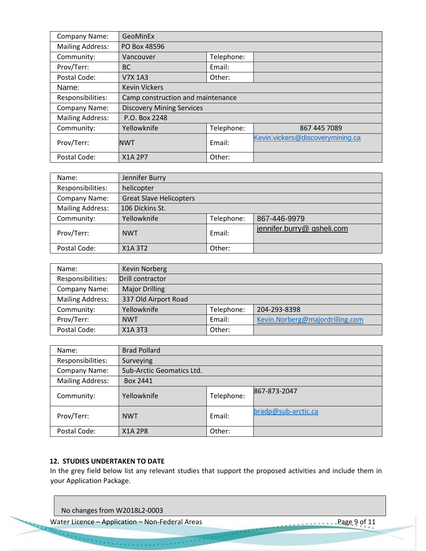| <b>Company Name:</b>    | GeoMinEx                          |            |                                  |  |  |  |
|-------------------------|-----------------------------------|------------|----------------------------------|--|--|--|
| <b>Mailing Address:</b> | PO Box 48596                      |            |                                  |  |  |  |
| Community:              | Vancouver                         | Telephone: |                                  |  |  |  |
| Prov/Terr:              | <b>BC</b>                         | Email:     |                                  |  |  |  |
| Postal Code:            | V7X 1A3                           | Other:     |                                  |  |  |  |
| Name:                   | <b>Kevin Vickers</b>              |            |                                  |  |  |  |
| Responsibilities:       | Camp construction and maintenance |            |                                  |  |  |  |
| Company Name:           | <b>Discovery Mining Services</b>  |            |                                  |  |  |  |
| <b>Mailing Address:</b> | P.O. Box 2248                     |            |                                  |  |  |  |
| Community:              | Yellowknife                       | Telephone: | 867 445 7089                     |  |  |  |
| Prov/Terr:              | <b>NWT</b>                        | Email:     | Kevin.vickers@discoverymining.ca |  |  |  |
| Postal Code:            | <b>X1A 2P7</b>                    | Other:     |                                  |  |  |  |

| Name:                   | Jennifer Burry                 |            |                           |  |  |  |
|-------------------------|--------------------------------|------------|---------------------------|--|--|--|
| Responsibilities:       | helicopter                     |            |                           |  |  |  |
| Company Name:           | <b>Great Slave Helicopters</b> |            |                           |  |  |  |
| <b>Mailing Address:</b> | 106 Dickins St.                |            |                           |  |  |  |
| Community:              | Yellowknife                    | Telephone: | 867-446-9979              |  |  |  |
| Prov/Terr:              | <b>NWT</b>                     | Email:     | jennifer.burry@gsheli.com |  |  |  |
| Postal Code:            | X1A 3T2                        | Other:     |                           |  |  |  |

| Name:                   | Kevin Norberg         |            |                                 |
|-------------------------|-----------------------|------------|---------------------------------|
| Responsibilities:       | Drill contractor      |            |                                 |
| Company Name:           | <b>Major Drilling</b> |            |                                 |
| <b>Mailing Address:</b> | 337 Old Airport Road  |            |                                 |
| Community:              | Yellowknife           | Telephone: | 204-293-8398                    |
| Prov/Terr:              | <b>NWT</b>            | Email:     | Kevin.Norberg@majordrilling.com |
| Postal Code:            | X1A 3T3               | Other:     |                                 |

| Name:                   | <b>Brad Pollard</b>       |            |                     |  |  |
|-------------------------|---------------------------|------------|---------------------|--|--|
| Responsibilities:       | Surveying                 |            |                     |  |  |
| Company Name:           | Sub-Arctic Geomatics Ltd. |            |                     |  |  |
| <b>Mailing Address:</b> | Box 2441                  |            |                     |  |  |
| Community:              | Yellowknife               | Telephone: | 867-873-2047        |  |  |
| Prov/Terr:              | <b>NWT</b>                | Email:     | bradp@sub-arctic.ca |  |  |
| Postal Code:            | X1A 2P8                   | Other:     |                     |  |  |

#### **12. STUDIES UNDERTAKEN TO DATE**

In the grey field below list any relevant studies that support the proposed activities and include them in your Application Package.

No changes from W2018L2-0003

every consum

Water Licence – Application – Non-Federal Areas Page 9 of 11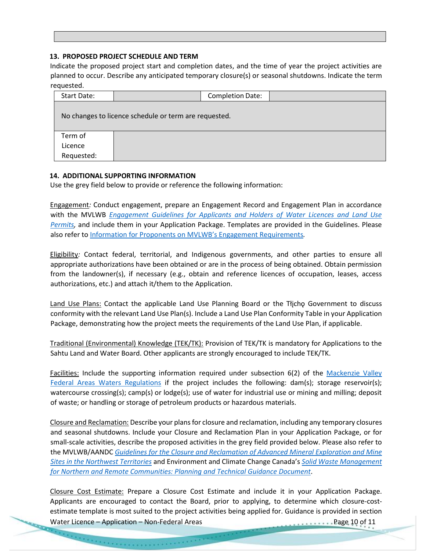#### **13. PROPOSED PROJECT SCHEDULE AND TERM**

Indicate the proposed project start and completion dates, and the time of year the project activities are planned to occur. Describe any anticipated temporary closure(s) or seasonal shutdowns. Indicate the term requested.

| Start Date:                                           |  | <b>Completion Date:</b> |  |
|-------------------------------------------------------|--|-------------------------|--|
| No changes to licence schedule or term are requested. |  |                         |  |
| Term of                                               |  |                         |  |
| Licence                                               |  |                         |  |
| Requested:                                            |  |                         |  |

#### **14. ADDITIONAL SUPPORTING INFORMATION**

Use the grey field below to provide or reference the following information:

Engagement*:* Conduct engagement, prepare an Engagement Record and Engagement Plan in accordance with the MVLWB *[Engagement Guidelines for Applicants and Holders of Water Licences and Land Use](https://mvlwb.com/sites/default/files/documents/wg/MVLWB%20Engagement%20Guidelines%20for%20Holders%20of%20LUPs%20and%20WLs%20-%20Oct%202014.pdf)  [Permits,](https://mvlwb.com/sites/default/files/documents/wg/MVLWB%20Engagement%20Guidelines%20for%20Holders%20of%20LUPs%20and%20WLs%20-%20Oct%202014.pdf)* and include them in your Application Package. Templates are provided in the Guidelines. Please also refer to [Information for Proponents on MVLWB's Eng](https://glwb.com/sites/default/files/documents/MVLWB%20Engagement%20Policy%20-%20Information%20for%20Proponents%20-%20Feb%2018_14.pdf)agement Requirements*.* 

Eligibility*:* Contact federal, territorial, and Indigenous governments, and other parties to ensure all appropriate authorizations have been obtained or are in the process of being obtained. Obtain permission from the landowner(s), if necessary (e.g., obtain and reference licences of occupation, leases, access authorizations, etc.) and attach it/them to the Application.

Land Use Plans: Contact the applicable Land Use Planning Board or the Tłicho Government to discuss conformity with the relevant Land Use Plan(s). Include a Land Use Plan Conformity Table in your Application Package, demonstrating how the project meets the requirements of the Land Use Plan, if applicable.

Traditional (Environmental) Knowledge (TEK/TK): Provision of TEK/TK is mandatory for Applications to the Sahtu Land and Water Board. Other applicants are strongly encouraged to include TEK/TK.

Facilities: Include the supporting information required under subsection 6(2) of the [Mackenzie Valley](https://mvlwb.com/sites/default/files/sor-93-303_1_0.pdf)  [Federal Areas Waters Regulations](https://mvlwb.com/sites/default/files/sor-93-303_1_0.pdf) if the project includes the following: dam(s); storage reservoir(s); watercourse crossing(s); camp(s) or lodge(s); use of water for industrial use or mining and milling; deposit of waste; or handling or storage of petroleum products or hazardous materials.

Closure and Reclamation: Describe your plansfor closure and reclamation, including any temporary closures and seasonal shutdowns. Include your Closure and Reclamation Plan in your Application Package, or for small-scale activities, describe the proposed activities in the grey field provided below. Please also refer to the MVLWB/AANDC *[Guidelines for the Closure and Reclamation of Advanced Mineral Exploration and Mine](https://glwb.com/sites/default/files/documents/wg/WLWB_5363_Guidelines_Closure_Reclamation_WR.pdf)  [Sites in the Northwest Territories](https://glwb.com/sites/default/files/documents/wg/WLWB_5363_Guidelines_Closure_Reclamation_WR.pdf)* and Environment and Climate Change Canada's *[Solid Waste Management](https://mvlwb.com/sites/default/files/en14-263-2016-eng.pdf)  [for Northern and Remote Communities: Planning and Technical Guidance Document](https://mvlwb.com/sites/default/files/en14-263-2016-eng.pdf)*.

Closure Cost Estimate: Prepare a Closure Cost Estimate and include it in your Application Package. Applicants are encouraged to contact the Board, prior to applying, to determine which closure-costestimate template is most suited to the project activities being applied for. Guidance is provided in section

Water Licence – Application – Non-Federal Areas Page 10 of 11

errore errore